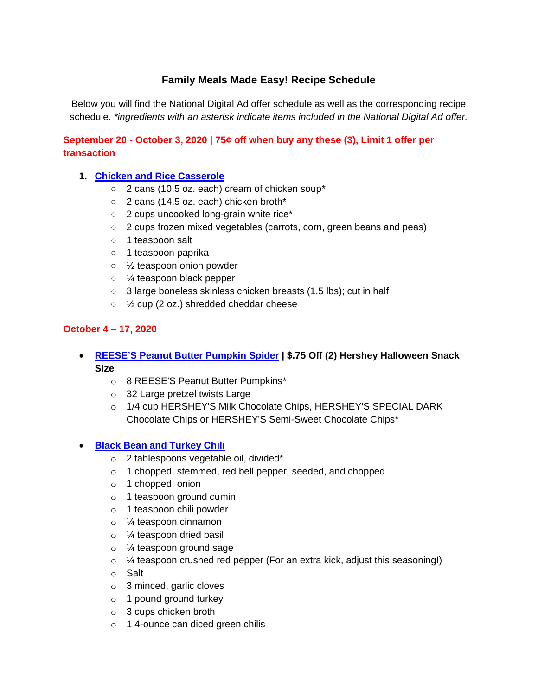# **Family Meals Made Easy! Recipe Schedule**

Below you will find the National Digital Ad offer schedule as well as the corresponding recipe schedule. *\*ingredients with an asterisk indicate items included in the National Digital Ad offer.*

# **September 20 - October 3, 2020 | 75¢ off when buy any these (3), Limit 1 offer per transaction**

# **1. [Chicken and Rice Casserole](https://www.iga.com/shopper-solutions/chicken-and-rice-casserole?hs_preview=CoytjhSQ-32439451901)**

- 2 cans (10.5 oz. each) cream of chicken soup\*
- 2 cans (14.5 oz. each) chicken broth\*
- 2 cups uncooked long-grain white rice\*
- 2 cups frozen mixed vegetables (carrots, corn, green beans and peas)
- 1 teaspoon salt
- 1 teaspoon paprika
- ½ teaspoon onion powder
- ¼ teaspoon black pepper
- 3 large boneless skinless chicken breasts (1.5 lbs); cut in half
- ½ cup (2 oz.) shredded cheddar cheese

## **October 4 – 17, 2020**

- **[REESE'S Peanut Butter Pumpkin Spider](https://www.iga.com/recipes/reeses-peanut-butter-pumpkin-spider) | \$.75 Off (2) Hershey Halloween Snack Size**
	- o 8 REESE'S Peanut Butter Pumpkins\*
	- o 32 Large pretzel twists Large
	- o 1/4 cup HERSHEY'S Milk Chocolate Chips, HERSHEY'S SPECIAL DARK Chocolate Chips or HERSHEY'S Semi-Sweet Chocolate Chips\*

## • **[Black Bean and Turkey Chili](https://www.iga.com/recipes/black-bean-and-turkey-chili)**

- o 2 tablespoons vegetable oil, divided\*
- o 1 chopped, stemmed, red bell pepper, seeded, and chopped
- o 1 chopped, onion
- o 1 teaspoon ground cumin
- o 1 teaspoon chili powder
- o ¼ teaspoon cinnamon
- o 1/4 teaspoon dried basil
- o ¼ teaspoon ground sage
- $\circ$  % teaspoon crushed red pepper (For an extra kick, adjust this seasoning!)
- o Salt
- $\circ$  3 minced, garlic cloves
- o 1 pound ground turkey
- o 3 cups chicken broth
- o 14-ounce can diced green chilis